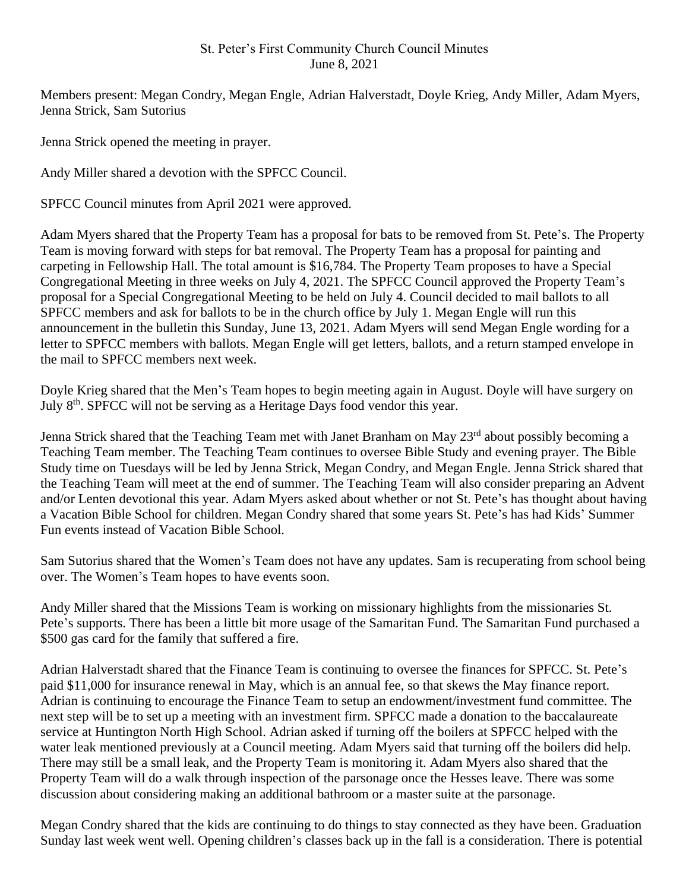## St. Peter's First Community Church Council Minutes June 8, 2021

Members present: Megan Condry, Megan Engle, Adrian Halverstadt, Doyle Krieg, Andy Miller, Adam Myers, Jenna Strick, Sam Sutorius

Jenna Strick opened the meeting in prayer.

Andy Miller shared a devotion with the SPFCC Council.

SPFCC Council minutes from April 2021 were approved.

Adam Myers shared that the Property Team has a proposal for bats to be removed from St. Pete's. The Property Team is moving forward with steps for bat removal. The Property Team has a proposal for painting and carpeting in Fellowship Hall. The total amount is \$16,784. The Property Team proposes to have a Special Congregational Meeting in three weeks on July 4, 2021. The SPFCC Council approved the Property Team's proposal for a Special Congregational Meeting to be held on July 4. Council decided to mail ballots to all SPFCC members and ask for ballots to be in the church office by July 1. Megan Engle will run this announcement in the bulletin this Sunday, June 13, 2021. Adam Myers will send Megan Engle wording for a letter to SPFCC members with ballots. Megan Engle will get letters, ballots, and a return stamped envelope in the mail to SPFCC members next week.

Doyle Krieg shared that the Men's Team hopes to begin meeting again in August. Doyle will have surgery on July 8<sup>th</sup>. SPFCC will not be serving as a Heritage Days food vendor this year.

Jenna Strick shared that the Teaching Team met with Janet Branham on May 23<sup>rd</sup> about possibly becoming a Teaching Team member. The Teaching Team continues to oversee Bible Study and evening prayer. The Bible Study time on Tuesdays will be led by Jenna Strick, Megan Condry, and Megan Engle. Jenna Strick shared that the Teaching Team will meet at the end of summer. The Teaching Team will also consider preparing an Advent and/or Lenten devotional this year. Adam Myers asked about whether or not St. Pete's has thought about having a Vacation Bible School for children. Megan Condry shared that some years St. Pete's has had Kids' Summer Fun events instead of Vacation Bible School.

Sam Sutorius shared that the Women's Team does not have any updates. Sam is recuperating from school being over. The Women's Team hopes to have events soon.

Andy Miller shared that the Missions Team is working on missionary highlights from the missionaries St. Pete's supports. There has been a little bit more usage of the Samaritan Fund. The Samaritan Fund purchased a \$500 gas card for the family that suffered a fire.

Adrian Halverstadt shared that the Finance Team is continuing to oversee the finances for SPFCC. St. Pete's paid \$11,000 for insurance renewal in May, which is an annual fee, so that skews the May finance report. Adrian is continuing to encourage the Finance Team to setup an endowment/investment fund committee. The next step will be to set up a meeting with an investment firm. SPFCC made a donation to the baccalaureate service at Huntington North High School. Adrian asked if turning off the boilers at SPFCC helped with the water leak mentioned previously at a Council meeting. Adam Myers said that turning off the boilers did help. There may still be a small leak, and the Property Team is monitoring it. Adam Myers also shared that the Property Team will do a walk through inspection of the parsonage once the Hesses leave. There was some discussion about considering making an additional bathroom or a master suite at the parsonage.

Megan Condry shared that the kids are continuing to do things to stay connected as they have been. Graduation Sunday last week went well. Opening children's classes back up in the fall is a consideration. There is potential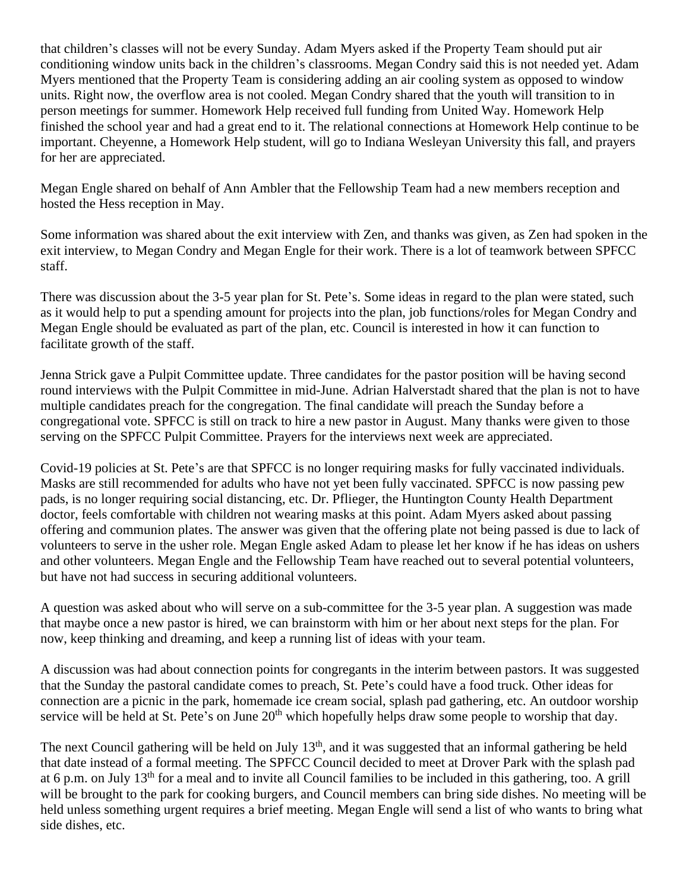that children's classes will not be every Sunday. Adam Myers asked if the Property Team should put air conditioning window units back in the children's classrooms. Megan Condry said this is not needed yet. Adam Myers mentioned that the Property Team is considering adding an air cooling system as opposed to window units. Right now, the overflow area is not cooled. Megan Condry shared that the youth will transition to in person meetings for summer. Homework Help received full funding from United Way. Homework Help finished the school year and had a great end to it. The relational connections at Homework Help continue to be important. Cheyenne, a Homework Help student, will go to Indiana Wesleyan University this fall, and prayers for her are appreciated.

Megan Engle shared on behalf of Ann Ambler that the Fellowship Team had a new members reception and hosted the Hess reception in May.

Some information was shared about the exit interview with Zen, and thanks was given, as Zen had spoken in the exit interview, to Megan Condry and Megan Engle for their work. There is a lot of teamwork between SPFCC staff.

There was discussion about the 3-5 year plan for St. Pete's. Some ideas in regard to the plan were stated, such as it would help to put a spending amount for projects into the plan, job functions/roles for Megan Condry and Megan Engle should be evaluated as part of the plan, etc. Council is interested in how it can function to facilitate growth of the staff.

Jenna Strick gave a Pulpit Committee update. Three candidates for the pastor position will be having second round interviews with the Pulpit Committee in mid-June. Adrian Halverstadt shared that the plan is not to have multiple candidates preach for the congregation. The final candidate will preach the Sunday before a congregational vote. SPFCC is still on track to hire a new pastor in August. Many thanks were given to those serving on the SPFCC Pulpit Committee. Prayers for the interviews next week are appreciated.

Covid-19 policies at St. Pete's are that SPFCC is no longer requiring masks for fully vaccinated individuals. Masks are still recommended for adults who have not yet been fully vaccinated. SPFCC is now passing pew pads, is no longer requiring social distancing, etc. Dr. Pflieger, the Huntington County Health Department doctor, feels comfortable with children not wearing masks at this point. Adam Myers asked about passing offering and communion plates. The answer was given that the offering plate not being passed is due to lack of volunteers to serve in the usher role. Megan Engle asked Adam to please let her know if he has ideas on ushers and other volunteers. Megan Engle and the Fellowship Team have reached out to several potential volunteers, but have not had success in securing additional volunteers.

A question was asked about who will serve on a sub-committee for the 3-5 year plan. A suggestion was made that maybe once a new pastor is hired, we can brainstorm with him or her about next steps for the plan. For now, keep thinking and dreaming, and keep a running list of ideas with your team.

A discussion was had about connection points for congregants in the interim between pastors. It was suggested that the Sunday the pastoral candidate comes to preach, St. Pete's could have a food truck. Other ideas for connection are a picnic in the park, homemade ice cream social, splash pad gathering, etc. An outdoor worship service will be held at St. Pete's on June 20<sup>th</sup> which hopefully helps draw some people to worship that day.

The next Council gathering will be held on July 13<sup>th</sup>, and it was suggested that an informal gathering be held that date instead of a formal meeting. The SPFCC Council decided to meet at Drover Park with the splash pad at 6 p.m. on July  $13<sup>th</sup>$  for a meal and to invite all Council families to be included in this gathering, too. A grill will be brought to the park for cooking burgers, and Council members can bring side dishes. No meeting will be held unless something urgent requires a brief meeting. Megan Engle will send a list of who wants to bring what side dishes, etc.